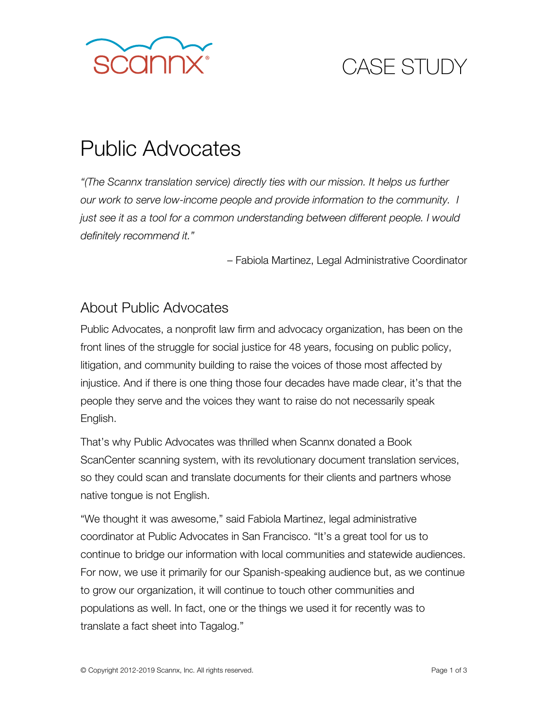

# CASE STUDY

## Public Advocates

*"(The Scannx translation service) directly ties with our mission. It helps us further our work to serve low-income people and provide information to the community. I just see it as a tool for a common understanding between different people. I would definitely recommend it."*

– Fabiola Martinez, Legal Administrative Coordinator

#### About Public Advocates

Public Advocates, a nonprofit law firm and advocacy organization, has been on the front lines of the struggle for social justice for 48 years, focusing on public policy, litigation, and community building to raise the voices of those most affected by injustice. And if there is one thing those four decades have made clear, it's that the people they serve and the voices they want to raise do not necessarily speak English.

That's why Public Advocates was thrilled when Scannx donated a Book ScanCenter scanning system, with its revolutionary document translation services, so they could scan and translate documents for their clients and partners whose native tongue is not English.

"We thought it was awesome," said Fabiola Martinez, legal administrative coordinator at Public Advocates in San Francisco. "It's a great tool for us to continue to bridge our information with local communities and statewide audiences. For now, we use it primarily for our Spanish-speaking audience but, as we continue to grow our organization, it will continue to touch other communities and populations as well. In fact, one or the things we used it for recently was to translate a fact sheet into Tagalog."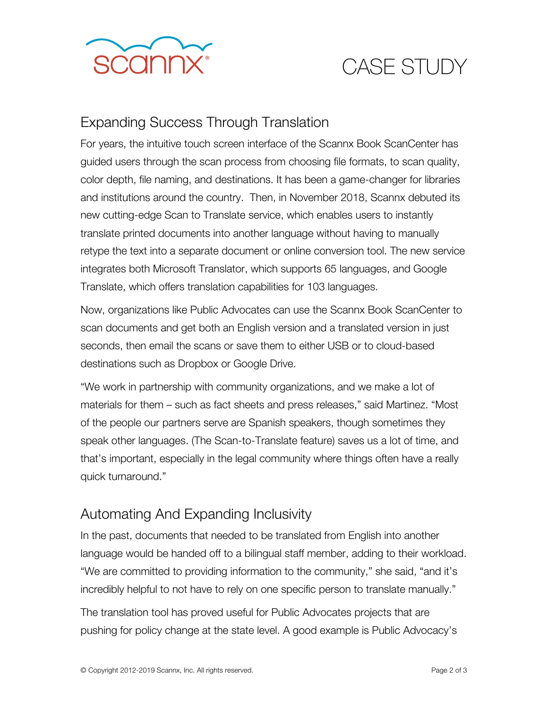

# CASE STUDY

### Expanding Success Through Translation

For years, the intuitive touch screen interface of the Scannx Book ScanCenter has guided users through the scan process from choosing file formats, to scan quality, color depth, file naming, and destinations. It has been a game-changer for libraries and institutions around the country. Then, in November 2018, Scannx debuted its new cutting-edge Scan to Translate service, which enables users to instantly translate printed documents into another language without having to manually retype the text into a separate document or online conversion tool. The new service integrates both Microsoft Translator, which supports 65 languages, and Google Translate, which offers translation capabilities for 103 languages.

Now, organizations like Public Advocates can use the Scannx Book ScanCenter to scan documents and get both an English version and a translated version in just seconds, then email the scans or save them to either USB or to cloud-based destinations such as Dropbox or Google Drive.

"We work in partnership with community organizations, and we make a lot of materials for them – such as fact sheets and press releases," said Martinez. "Most of the people our partners serve are Spanish speakers, though sometimes they speak other languages. (The Scan-to-Translate feature) saves us a lot of time, and that's important, especially in the legal community where things often have a really quick turnaround."

#### Automating And Expanding Inclusivity

In the past, documents that needed to be translated from English into another language would be handed off to a bilingual staff member, adding to their workload. "We are committed to providing information to the community," she said, "and it's incredibly helpful to not have to rely on one specific person to translate manually."

The translation tool has proved useful for Public Advocates projects that are pushing for policy change at the state level. A good example is Public Advocacy's